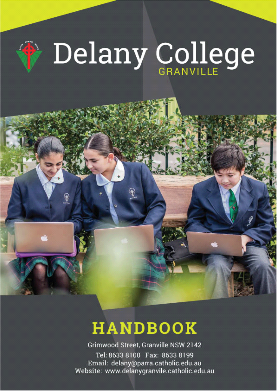

# **HANDBOOK**

Grimwood Street, Granville NSW 2142 Tel: 8633 8100 Fax: 8633 8199 Email: delany@parra.catholic.edu.au Website: www.delanygranvile.catholic.edu.au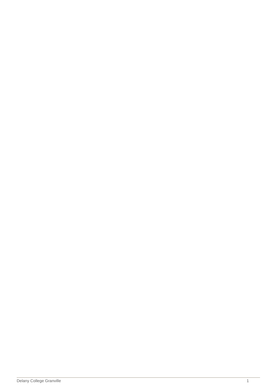Delany College Granville 1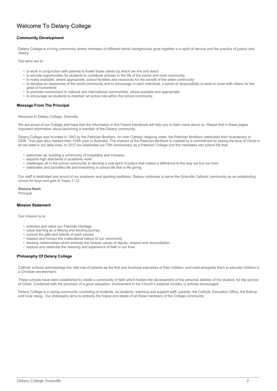## **Community Development**

Delany College is a living community where members of different family backgrounds grow together in a spirit of service and the practice of justice and charity.

Our aims are to:

- to work in conjunction with parents to foster those values by which we live and teach
- to provide opportunities for students to contribute actively to the life of the parish and local community
- to make available, where appropriate, school facilities and resources for the benefit of the wider community
- to develop an awareness of the world community and to encourage in each individual, a sense of responsibility to work in union with others for the good of humankind
- to promote involvement in national and international communities, where possible and appropriate
- to encourage ex-students to maintain an active role within the school community.

## **Message From The Principal**

Welcome to Delany College, Granville.

We are proud of our College and hope that the information in this Parent Handbook will help you to learn more about us. Please find in these pages important information about becoming a member of the Delany community.

Delany College was founded in 1942 by the Patrician Brothers. An Irish Catholic religious order, the Patrician Brothers celebrated their bicentenary in 2008. That year also marked their 125th year in Australia. The charism of the Patrician Brothers is marked by a commitment to seeing the face of Christ in all we meet in our daily lives. In 2012 we celebrated our 70th Anniversary as a Patrician College and this translates into school life that:

- welcomes all, building a community of hospitality and inclusion
- expects high standards in academic work
- challenges all in the school community to develop a real spirit of justice that makes a difference to the way we live our lives
- celebrates and sanctifies life and everything in school life that is life giving.

Our staff is dedicated and proud of our academic and sporting traditions. Delany continues to serve the Granville Catholic community as an outstanding school for boys and girls in Years 7–12.

**Shauna Nash** Principal

## **Mission Statement**

Our mission is to:

- embrace and value our Patrician Heritage
- value learning as a lifelong and exciting journey
- nurture the gifts and talents of each person
- respect and honour the multicultural nature of our community
- develop relationships which embody the Gospel values of dignity, respect and reconciliation
- explore and celebrate the meaning and experience of faith in our lives

## **Philosophy Of Delany College**

Catholic schools acknowledge the vital role of parents as the first and foremost educators of their children, and exist alongside them to educate children in a Christian environment.

These schools have been established to create a community of faith which fosters the development of the personal abilities of the student, for the service of Christ. Combined with the provision of a good education, involvement in the Church's pastoral ministry is actively encouraged.

Delany College is a caring community consisting of students, ex-students, teaching and support staff, parents, the Catholic Education Office, the Bishop and local clergy. Our philosophy aims to embody the hopes and ideals of all these members of the College community.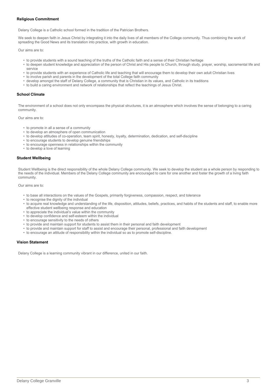## **Religious Commitment**

Delany College is a Catholic school formed in the tradition of the Patrician Brothers.

We seek to deepen faith in Jesus Christ by integrating it into the daily lives of all members of the College community. Thus combining the work of spreading the Good News and its translation into practice, with growth in education.

Our aims are to:

- to provide students with a sound teaching of the truths of the Catholic faith and a sense of their Christian heritage
- to deepen student knowledge and appreciation of the person of Christ and His people to Church, through study, prayer, worship, sacramental life and service
- to provide students with an experience of Catholic life and teaching that will encourage them to develop their own adult Christian lives
- to involve parish and parents in the development of the total College faith community
- develop amongst the staff of Delany College, a community that is Christian in its values, and Catholic in its traditions
- to build a caring environment and network of relationships that reflect the teachings of Jesus Christ.

## **School Climate**

The environment of a school does not only encompass the physical structures, it is an atmosphere which involves the sense of belonging to a caring community.

Our aims are to:

- to promote in all a sense of a community
- to develop an atmosphere of open communication
- to develop attitudes of co-operation, team spirit, honesty, loyalty, determination, dedication, and self-discipline
- to encourage students to develop genuine friendships
- to encourage openness in relationships within the community
- to develop a love of learning

## **Student Wellbeing**

Student Wellbeing is the direct responsibility of the whole Delany College community. We seek to develop the student as a whole person by responding to the needs of the individual. Members of the Delany College community are encouraged to care for one another and foster the growth of a living faith community.

Our aims are to:

- to base all interactions on the values of the Gospels, primarily forgiveness, compassion, respect, and tolerance
- to recognise the dignity of the individual
- to acquire real knowledge and understanding of the life, disposition, attitudes, beliefs, practices, and habits of the students and staff, to enable more effective student wellbeing response and education
- to appreciate the individual's value within the community
- to develop confidence and self-esteem within the individual
- to encourage sensitivity to the needs of others
- to provide and maintain support for students to assist them in their personal and faith development
- to provide and maintain support for staff to assist and encourage their personal, professional and faith development
- to encourage an attitude of responsibility within the individual so as to promote self-discipline.

## **Vision Statement**

Delany College is a learning community vibrant in our difference, united in our faith.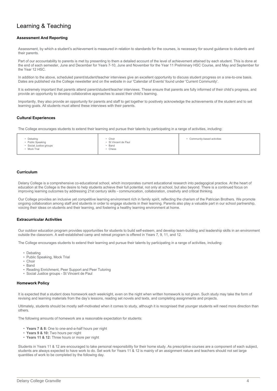# Learning & Teaching

## **Assessment And Reporting**

Assessment, by which a student's achievement is measured in relation to standards for the courses, is necessary for sound guidance to students and their parents.

Part of our accountability to parents is met by presenting to them a detailed account of the level of achievement attained by each student. This is done at the end of each semester, June and December for Years 7-10, June and November for the Year 11 Preliminary HSC Course, and May and September for the Year 12 HSC.

In addition to the above, scheduled parent/student/teacher interviews give an excellent opportunity to discuss student progress on a one-to-one basis. Dates are published via the College newsletter and on the website in our 'Calendar of Events' found under 'Current Community'.

It is extremely important that parents attend parent/student/teacher interviews. These ensure that parents are fully informed of their child's progress, and provide an opportunity to develop collaborative approaches to assist their child's learning.

Importantly, they also provide an opportunity for parents and staff to get together to positively acknowledge the achievements of the student and to set learning goals. All students must attend these interviews with their parents.

## **Cultural Experiences**

The College encourages students to extend their learning and pursue their talents by participating in a range of activities, including:

| Debating<br>• Public Speaking<br>• Social Justice groups<br>Mock Trial | • Choir<br>• St Vincent de Paul<br>Band<br>Chess | • Community-based activities |
|------------------------------------------------------------------------|--------------------------------------------------|------------------------------|
|                                                                        |                                                  |                              |

## **Curriculum**

Delany College is a comprehensive co-educational school, which incorporates current educational research into pedagogical practice. At the heart of education at the College is the desire to help students achieve their full potential, not only at school, but also beyond. There is a continued focus on improving learning outcomes by addressing 21st century skills - communication, collaboration, creativity and critical thinking.

Our College provides an inclusive yet competitive learning environment rich in family spirit, reflecting the charism of the Patrician Brothers. We promote ongoing collaboration among staff and students in order to engage students in their learning. Parents also play a valuable part in our school partnership, voicing their ideas on students and their learning, and fostering a healthy learning environment at home.

## **Extracurricular Activities**

Our outdoor education program provides opportunities for students to build self-esteem, and develop team-building and leadership skills in an environment outside the classroom. A well-established camp and retreat program is offered in Years 7, 9, 11, and 12.

The College encourages students to extend their learning and pursue their talents by participating in a range of activities, including:

- Debating
- Public Speaking, Mock Trial
- Choir
- Band
- Reading Enrichment, Peer Support and Peer Tutoring
- Social Justice groups St Vincent de Paul

## **Homework Policy**

It is expected that a student does homework each weeknight, even on the night when written homework is not given. Such study may take the form of revising and learning materials from the day's lessons, reading set novels and texts, and completing assignments and projects.

Ultimately, students should be mostly self-motivated when it comes to study, although it is recognised that younger students will need more direction than others.

The following amounts of homework are a reasonable expectation for students:

- **Years 7 & 8:** One to one-and-a-half hours per night
- **Years 9 & 10:** Two hours per night
- **Years 11 & 12:** Three hours or more per night

Students in Years 11 & 12 are encouraged to take personal responsibility for their home study. As prescriptive courses are a component of each subject, students are always expected to have work to do. Set work for Years 11 & 12 is mainly of an assignment nature and teachers should not set large quantities of work to be completed by the following day.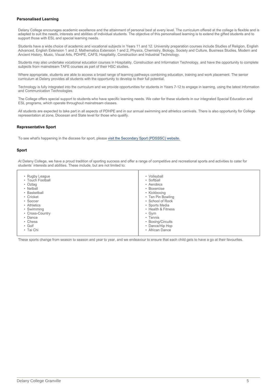## **Personalised Learning**

Delany College encourages academic excellence and the attainment of personal best at every level. The curriculum offered at the college is flexible and is adapted to suit the needs, interests and abilities of individual students. The objective of this personalised learning is to extend the gifted students and to support those with ESL and special learning needs.

Students have a wide choice of academic and vocational subjects in Years 11 and 12. University preparation courses include Studies of Religion, English Advanced, English Extension 1 and 2, Mathematics Extension 1 and 2, Physics, Chemistry, Biology, Society and Culture, Business Studies, Modern and Ancient History, Music, Visual Arts, PDHPE, CAFS, Hospitality, Construction and Industrial Technology.

Students may also undertake vocational education courses in Hospitality, Construction and Information Technology, and have the opportunity to complete subjects from mainstream TAFE courses as part of their HSC studies.

Where appropriate, students are able to access a broad range of learning pathways combining education, training and work placement. The senior curriculum at Delany provides all students with the opportunity to develop to their full potential.

Technology is fully integrated into the curriculum and we provide opportunities for students in Years 7-12 to engage in learning, using the latest Information and Communication Technologies.

The College offers special support to students who have specific learning needs. We cater for these students in our integrated Special Education and ESL programs, which operate throughout mainstream classes.

All students are expected to take part in all aspects of PDHPE and in our annual swimming and athletics carnivals. There is also opportunity for College representation at zone, Diocesan and State level for those who qualify.

## **Representative Sport**

To see what's happening in the diocese for sport, please [visit the Secondary Sport \(PDSSSC\) website.](http://www.secondarysportparra.catholic.edu.au/)

## **Sport**

At Delany College, we have a proud tradition of sporting success and offer a range of competitive and recreational sports and activities to cater for students' interests and abilities. These include, but are not limited to:

| • Rugby League   | • Volleyball       |
|------------------|--------------------|
| • Touch Football | • Softball         |
| • Oztag          | • Aerobics         |
| • Netball        | • Boxercise        |
| • Basketball     | • Kickboxing       |
| • Cricket        | • Ten Pin Bowling  |
| • Soccer         | • School of Rock   |
| • Athletics      | • Sports Media     |
| • Swimming       | • Health & Fitness |
| • Cross-Country  | $\cdot$ Gym        |
| • Dance          | • Tennis           |
| • Chess          | • Boxing/Circuits  |
| $\cdot$ Golf     | • Dance/Hip Hop    |
| • Tai Chi        | • African Dance    |

These sports change from season to season and year to year, and we endeavour to ensure that each child gets to have a go at their favourites.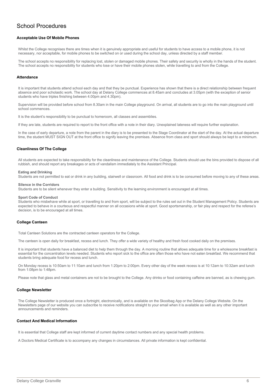## School Procedures

## **Acceptable Use Of Mobile Phones**

Whilst the College recognises there are times when it is genuinely appropriate and useful for students to have access to a mobile phone, it is not necessary, nor acceptable, for mobile phones to be switched on or used during the school day, unless directed by a staff member.

The school accepts no responsibility for replacing lost, stolen or damaged mobile phones. Their safety and security is wholly in the hands of the student. The school accepts no responsibility for students who lose or have their mobile phones stolen, while travelling to and from the College.

## **Attendance**

It is important that students attend school each day and that they be punctual. Experience has shown that there is a direct relationship between frequent absence and poor scholastic work. The school day at Delany College commences at 8.45am and concludes at 3.05pm (with the exception of senior students who have triples finishing between 4.00pm and 4.30pm).

Supervision will be provided before school from 8.30am in the main College playground. On arrival, all students are to go into the main playground until school commences.

It is the student's responsibility to be punctual to homeroom, all classes and assemblies.

If they are late, students are required to report to the front office with a note in their diary. Unexplained lateness will require further explanation.

In the case of early departure, a note from the parent in the diary is to be presented to the Stage Coordinator at the start of the day. At the actual departure time, the student MUST SIGN OUT at the front office to signify leaving the premises. Absence from class and sport should always be kept to a minimum.

## **Cleanliness Of The College**

All students are expected to take responsibility for the cleanliness and maintenance of the College. Students should use the bins provided to dispose of all rubbish, and should report any breakages or acts of vandalism immediately to the Assistant Principal.

## **Eating and Drinking**

Students are not permitted to eat or drink in any building, stairwell or classroom. All food and drink is to be consumed before moving to any of these areas.

## **Silence in the Corridors**

Students are to be silent whenever they enter a building. Sensitivity to the learning environment is encouraged at all times.

## **Sport Code of Conduct**

Students who misbehave while at sport, or travelling to and from sport, will be subject to the rules set out in the Student Management Policy. Students are expected to behave in a courteous and respectful manner on all occasions while at sport. Good sportsmanship, or fair play and respect for the referee's decision, is to be encouraged at all times.

## **College Canteen**

Total Canteen Solutions are the contracted canteen operators for the College.

The canteen is open daily for breakfast, recess and lunch. They offer a wide variety of healthy and fresh food cooked daily on the premises.

It is important that students have a balanced diet to help them through the day. A morning routine that allows adequate time for a wholesome breakfast is essential for the concentration levels needed. Students who report sick to the office are often those who have not eaten breakfast. We recommend that students bring adequate food for recess and lunch.

On Monday recess is 10:50am to 11:10am and lunch from 1:20pm to 2:00pm. Every other day of the week recess is at 10:12am to 10:32am and lunch from 1:08pm to 1:48pm.

Please note that glass and metal containers are not to be brought to the College. Any drinks or food containing caffeine are banned, as is chewing gum.

## **College Newsletter**

The College Newsletter is produced once a fortnight, electronically, and is available on the Skoolbag App or the Delany College Website. On the Newsletters page of our website you can subscribe to receive notifications straight to your email when it is available as well as any other important announcements and reminders.

## **Contact And Medical Information**

It is essential that College staff are kept informed of current daytime contact numbers and any special health problems.

A Doctors Medical Certificate is to accompany any changes in circumstances. All private information is kept confidential.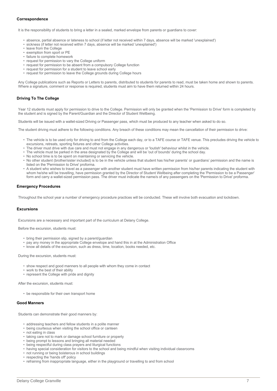## **Correspondence**

It is the responsibility of students to bring a letter in a sealed, marked envelope from parents or guardians to cover:

- absence, partial absence or lateness to school (if letter not received within 7 days, absence will be marked 'unexplained')
- sickness (if letter not received within 7 days, absence will be marked 'unexplained')
- leave from the College
- exemption from sport or PE
- failure to complete homework
- request for permission to vary the College uniform
- request for permission to be absent from a compulsory College function
- request for permission for a student to leave school early
- request for permission to leave the College grounds during College hours

Any College publications such as Reports or Letters to parents, distributed to students for parents to read, must be taken home and shown to parents. Where a signature, comment or response is required, students must aim to have them returned within 24 hours.

## **Driving To The College**

Year 12 students must apply for permission to drive to the College. Permission will only be granted when the 'Permission to Drive' form is completed by the student and is signed by the Parent/Guardian and the Director of Student Wellbeing.

Students will be issued with a wallet-sized Driving or Passenger pass, which must be produced to any teacher when asked to do so.

The student driving must adhere to the following conditions. Any breach of these conditions may mean the cancellation of their permission to drive:

- bring their permission slip, signed by a parent/guardian
- pay any money in the appropriate College envelope and hand this in at the Administration Office
- know all details of the excursion, such as dress, time, location, books needed, etc.
- The vehicle is to be used only for driving to and from the College each day, or to a TAFE course or TAFE venue. This precludes driving the vehicle to excursions, retreats, sporting fixtures and other College activities.
- The driver must drive with due care and must not engage in any dangerous or 'loutish' behaviour whilst in the vehicle.
- The vehicle must be parked in the area designated by the College and will be 'out of bounds' during the school day.
- No school time is to be spent on maintaining or servicing the vehicle.
- No other student (brother/sister included) is to be in the vehicle unless that student has his/her parents' or guardians' permission and the name is listed on the 'Permission to Drive' proforma.
- A student who wishes to travel as a passenger with another student must have written permission from his/her parents indicating the student with whom he/she will be travelling, have permission granted by the Director of Student Wellbeing after completing the 'Permission to be a Passenger' form and carry a wallet-sized permission pass. The driver must indicate the name/s of any passengers on the 'Permission to Drive' proforma.

## **Emergency Procedures**

Throughout the school year a number of emergency procedure practices will be conducted. These will involve both evacuation and lockdown.

## **Excursions**

Excursions are a necessary and important part of the curriculum at Delany College.

Before the excursion, students must:

During the excursion, students must:

- show respect and good manners to all people with whom they come in contact
- work to the best of their ability
- represent the College with pride and dignity

After the excursion, students must:

• be responsible for their own transport home

## **Good Manners**

Students can demonstrate their good manners by:

- addressing teachers and fellow students in a polite manner
- being courteous when visiting the school office or canteen
- not eating in class
- taking care not to mark or damage school furniture or property
- being prompt to lessons and bringing all material needed
- being respectful during class prayers and liturgical functions
- having special consideration for visitors to the school and being mindful when visiting individual classrooms
- not running or being boisterous in school buildings
- respecting the 'hands off' policy
- refraining from inappropriate language, either in the playground or travelling to and from school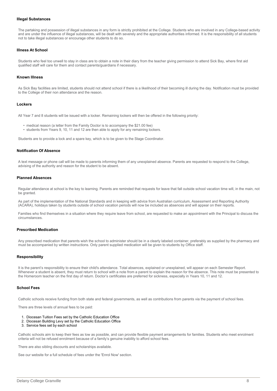## **Illegal Substances**

The partaking and possession of illegal substances in any form is strictly prohibited at the College. Students who are involved in any College-based activity and are under the influence of illegal substances, will be dealt with severely and the appropriate authorities informed. It is the responsibility of all students not to take illegal substances or encourage other students to do so.

## **Illness At School**

Students who feel too unwell to stay in class are to obtain a note in their diary from the teacher giving permission to attend Sick Bay, where first aid qualified staff will care for them and contact parents/guardians if necessary.

## **Known Illness**

As Sick Bay facilities are limited, students should not attend school if there is a likelihood of their becoming ill during the day. Notification must be provided to the College of their non attendance and the reason.

## **Lockers**

All Year 7 and 8 students will be issued with a locker. Remaining lockers will then be offered in the following priority:

- medical reason (a letter from the Family Doctor is to accompany the \$21.00 fee)
- students from Years 9, 10, 11 and 12 are then able to apply for any remaining lockers.

Students are to provide a lock and a spare key, which is to be given to the Stage Coordinator.

## **Notification Of Absence**

A text message or phone call will be made to parents informing them of any unexplained absence. Parents are requested to respond to the College, advising of the authority and reason for the student to be absent.

## **Planned Absences**

Regular attendance at school is the key to learning. Parents are reminded that requests for leave that fall outside school vacation time will, in the main, not be granted.

As part of the implementation of the National Standards and in keeping with advice from Australian curriculum, Assessment and Reporting Authority (ACARA), holidays taken by students outside of school vacation periods will now be included as absences and will appear on their reports.

Families who find themselves in a situation where they require leave from school, are requested to make an appointment with the Principal to discuss the circumstances.

## **Prescribed Medication**

Any prescribed medication that parents wish the school to administer should be in a clearly labeled container, preferably as supplied by the pharmacy and must be accompanied by written instructions. Only parent supplied medication will be given to students by Office staff.

## **Responsibility**

It is the parent's responsibility to ensure their child's attendance. Total absences, explained or unexplained, will appear on each Semester Report. Whenever a student is absent, they must return to school with a note from a parent to explain the reason for the absence. This note must be presented to the Homeroom teacher on the first day of return. Doctor's certificates are preferred for sickness, especially in Years 10, 11 and 12.

## **School Fees**

Catholic schools receive funding from both state and federal governments, as well as contributions from parents via the payment of school fees.

There are three levels of annual fees to be paid:

- 1. Diocesan Tuition Fees set by the Catholic Education Office
- 2. Diocesan Building Levy set by the Catholic Education Office
- 3. Service fees set by each school

Catholic schools aim to keep their fees as low as possible, and can provide flexible payment arrangements for families. Students who meet enrolment criteria will not be refused enrolment because of a family's genuine inability to afford school fees.

There are also sibling discounts and scholarships available.

See our website for a full schedule of fees under the 'Enrol Now' section.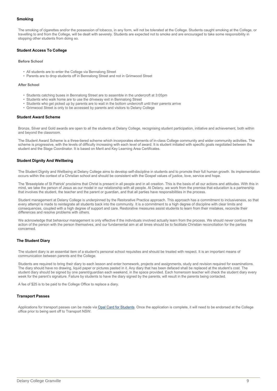## **Smoking**

The smoking of cigarettes and/or the possession of tobacco, in any form, will not be tolerated at the College. Students caught smoking at the College, or travelling to and from the College, will be dealt with severely. Students are expected not to smoke and are encouraged to take some responsibility in stopping other students from doing so.

## **Student Access To College**

## **Before School**

- All students are to enter the College via Bennalong Street
- Parents are to drop students off in Bennalong Street and not in Grimwood Street

## **After School**

- Students catching buses in Bennalong Street are to assemble in the undercroft at 3:05pm
- Students who walk home are to use the driveway exit in Bennalong Street
- Students who get picked up by parents are to wait in the bottom undercroft until their parents arrive
- Grimwood Street is only to be accessed by parents and visitors to Delany College

## **Student Award Scheme**

Bronze, Silver and Gold awards are open to all the students at Delany College, recognising student participation, initiative and achievement, both within and beyond the classroom.

The Student Award Scheme is a three-tiered scheme which incorporates elements of in-class College community and wider community activities. The scheme is progressive, with the levels of difficulty increasing with each level of award. It is student initiated with specific goals negotiated between the student and the Stage Coordinator. It is based on Merit and Key Learning Area Certificates.

## **Student Dignity And Wellbeing**

The Student Dignity and Wellbeing at Delany College aims to develop self-discipline in students and to promote their full human growth. Its implementation occurs within the context of a Christian school and should be consistent with the Gospel values of justice, love, service and hope.

The 'Breastplate of St Patrick' proclaims that Christ is present in all people and in all creation. This is the basis of all our actions and attitudes. With this in mind, we take the person of Jesus as our model in our relationship with all people. At Delany, we work from the premise that education is a partnership that involves the student, the teacher and the parent or guardian, and that all parties have responsibilities in the process.

Student management at Delany College is underpinned by the Restorative Practice approach. This approach has a commitment to inclusiveness, so that every attempt is made to reintegrate all students back into the community. It is a commitment to a high degree of discipline with clear limits and consequences, coupled with a high degree of support and care. Restorative measures assist students to learn from their mistakes, reconcile their differences and resolve problems with others.

We acknowledge that behaviour management is only effective if the individuals involved actually learn from the process. We should never confuse the action of the person with the person themselves, and our fundamental aim at all times should be to facilitate Christian reconciliation for the parties concerned.

## **The Student Diary**

The student diary is an essential item of a student's personal school requisites and should be treated with respect. It is an important means of communication between parents and the College.

Students are required to bring their diary to each lesson and enter homework, projects and assignments, study and revision required for examinations. The diary should have no drawing, liquid paper or pictures pasted in it. Any diary that has been defaced shall be replaced at the student's cost. The student diary should be signed by one parent/guardian each weekend, in the space provided. Each homeroom teacher will check the student diary every week for the parent's signature. Failure by students to have the diary signed by the parents, will result in the parents being contacted.

A fee of \$25 is to be paid to the College Office to replace a diary.

## **Transport Passes**

Applications for transport passes can be made via [Opal Card for Students.](https://www.opal.com.au/en/about-opal/opal-for-school-students/) Once the application is complete, it will need to be endorsed at the College office prior to being sent off to Transport NSW.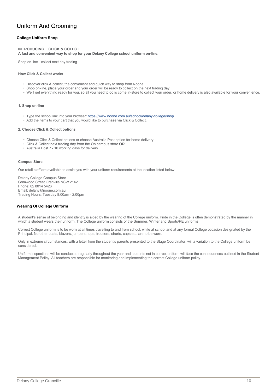# Uniform And Grooming

## **College Uniform Shop**

## **INTRODUCING... CLICK & COLLCT**

**A fast and convenient way to shop for your Delany College school uniform on-line.**

Shop on-line - collect next day trading

## **How Click & Collect works**

- Discover click & collect, the convenient and quick way to shop from Noone
- Shop on-line, place your order and your order will be ready to collect on the next trading day
- We'll get everything ready for you, so all you need to do is come in-store to collect your order, or home delivery is also available for your convenience.

## **1. Shop on-line**

- Type the school link into your browser:<https://www.noone.com.au/school/delany-college/shop>
- Add the items to your cart that you would like to purchase via Click & Collect.

## **2. Choose Click & Collect options**

- Choose Click & Collect options or choose Australia Post option for home delivery.
- Click & Collect next trading day from the On campus store **OR**
- Australia Post 7 10 working days for delivery

## **Campus Store**

Our retail staff are available to assist you with your uniform requirements at the location listed below:

Delany College Campus Store Grimwood Street Granville NSW 2142 Phone: 02 8014 5426 Email: delany@noone.com.au Trading Hours: Tuesday 8:00am - 2:00pm

## **Wearing Of College Uniform**

A student's sense of belonging and identity is aided by the wearing of the College uniform. Pride in the College is often demonstrated by the manner in which a student wears their uniform. The College uniform consists of the Summer, Winter and Sports/PE uniforms.

Correct College uniform is to be worn at all times travelling to and from school, while at school and at any formal College occasion designated by the Principal. No other coats, blazers, jumpers, tops, trousers, shorts, caps etc. are to be worn.

Only in extreme circumstances, with a letter from the student's parents presented to the Stage Coordinator, will a variation to the College uniform be considered.

Uniform inspections will be conducted regularly throughout the year and students not in correct uniform will face the consequences outlined in the Student Management Policy. All teachers are responsible for monitoring and implementing the correct College uniform policy.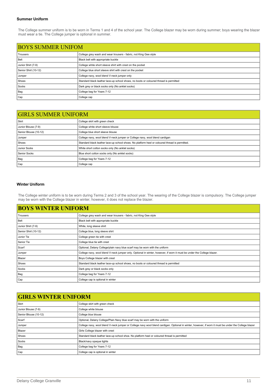## **Summer Uniform**

The College summer uniform is to be worn in Terms 1 and 4 of the school year. The College blazer may be worn during summer; boys wearing the blazer must wear a tie. The College jumper is optional in summer.

| <b>BOYS SUMMER UNIFOM</b> |                                                                                       |
|---------------------------|---------------------------------------------------------------------------------------|
| Trousers                  | College grey wash and wear trousers - fabric, not King Gee style                      |
| ∣ Belt                    | Black belt with appropriate buckle                                                    |
| Junior Shirt (7-9)        | College white short sleeve shirt with crest on the pocket                             |
| Senior Shirt (10-12)      | College blue short sleeve shirt with crest on the pocket                              |
| ∣ Jumper                  | College navy, wool blend V-neck jumper only                                           |
| Shoes                     | Standard black leather lace-up school shoes, no boots or coloured thread is permitted |
| Socks                     | Dark grey or black socks only (No anklet socks)                                       |
| ∥Bag                      | College bag for Years 7-12                                                            |
| ∣ Cap                     | College cap                                                                           |

| <b>GIRLS SUMMER UNIFORM</b> |                                                                                                |
|-----------------------------|------------------------------------------------------------------------------------------------|
| Skirt                       | College skirt with green check                                                                 |
| Junior Blouse (7-9)         | College white short sleeve blouse                                                              |
| Senior Blouse (10-12)       | College blue short sleeve blouse                                                               |
| Jumper                      | College navy, wool blend V-neck jumper or College navy, wool blend cardigan                    |
| Shoes                       | Standard black leather lace-up school shoes. No platform heel or coloured thread is permitted. |
| Junior Socks                | White short cotton socks only (No anklet socks)                                                |
| Senior Socks                | Blue short cotton socks only (No anklet socks)                                                 |
| ∣ Bag                       | College bag for Years 7-12                                                                     |
| ∣Cap                        | College cap                                                                                    |

## **Winter Uniform**

The College winter uniform is to be worn during Terms 2 and 3 of the school year. The wearing of the College blazer is compulsory. The College jumper may be worn with the College blazer in winter, however, it does not replace the blazer.

| <b>BOYS WINTER UNIFORM</b> |                                                                                                                        |  |
|----------------------------|------------------------------------------------------------------------------------------------------------------------|--|
| Trousers                   | College grey wash and wear trousers - fabric, not King Gee style                                                       |  |
| <b>Belt</b>                | Black belt with appropriate buckle                                                                                     |  |
| Junior Shirt (7-9)         | White, long sleeve shirt                                                                                               |  |
| Senior Shirt (10-12)       | College blue, long sleeve shirt                                                                                        |  |
| Junior Tie                 | College green tie with crest                                                                                           |  |
| Senior Tie                 | College blue tie with crest                                                                                            |  |
| Scarf                      | Optional, Delany College/plain navy blue scarf may be worn with the uniform                                            |  |
| Jumper                     | College navy, wool blend V-neck jumper only. Optional in winter, however, if worn it must be under the College blazer. |  |
| Blazer                     | Boys College blazer with crest                                                                                         |  |
| Shoes                      | Standard black leather lace-up school shoes, no boots or coloured thread is permitted                                  |  |
| Socks                      | Dark grey or black socks only                                                                                          |  |
| Bag                        | College bag for Years 7-12                                                                                             |  |
| Cap                        | College cap is optional in winter                                                                                      |  |

# **GIRLS WINTER UNIFORM**

| Skirt                 | College skirt with green check                                                                                                                       |
|-----------------------|------------------------------------------------------------------------------------------------------------------------------------------------------|
| Junior Blouse (7-9)   | College white blouse                                                                                                                                 |
| Senior Blouse (10-12) | College blue blouse                                                                                                                                  |
| Scarf                 | Optional, Delany College/Plain Navy blue scarf may be worn with the uniform                                                                          |
| Jumper                | College navy, wool blend V-neck jumper or College navy wool blend cardigan. Optional in winter, however, if worn it must be under the College blazer |
| Blazer                | Girls College blazer with crest                                                                                                                      |
| Shoes                 | Standard black leather lace-up school shoe. No platform heel or coloured thread is permitted                                                         |
| Socks                 | Black/navy opaque tights                                                                                                                             |
| Bag                   | College bag for Years 7-12                                                                                                                           |
| Cap                   | College cap is optional in winter                                                                                                                    |